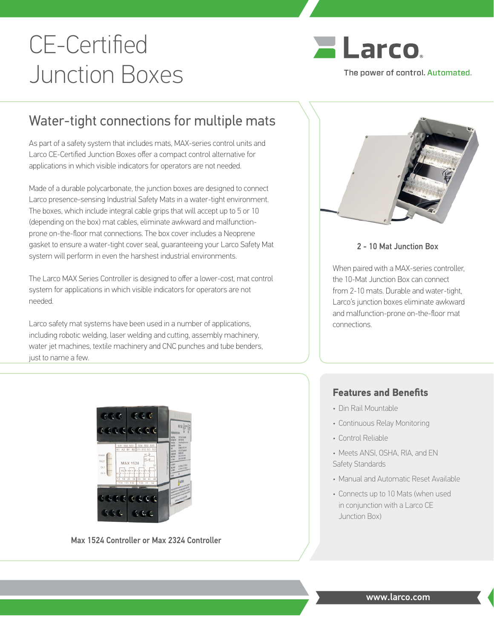# CE-Certified Junction Boxes



# Water-tight connections for multiple mats

As part of a safety system that includes mats, MAX-series control units and Larco CE-Certified Junction Boxes offer a compact control alternative for applications in which visible indicators for operators are not needed.

Made of a durable polycarbonate, the junction boxes are designed to connect Larco presence-sensing Industrial Safety Mats in a water-tight environment. The boxes, which include integral cable grips that will accept up to 5 or 10 (depending on the box) mat cables, eliminate awkward and malfunctionprone on-the-floor mat connections. The box cover includes a Neoprene gasket to ensure a water-tight cover seal, guaranteeing your Larco Safety Mat system will perform in even the harshest industrial environments.

The Larco MAX Series Controller is designed to offer a lower-cost, mat control system for applications in which visible indicators for operators are not needed.

Larco safety mat systems have been used in a number of applications, including robotic welding, laser welding and cutting, assembly machinery, water jet machines, textile machinery and CNC punches and tube benders, just to name a few.



# 2 - 10 Mat Junction Box

When paired with a MAX-series controller, the 10-Mat Junction Box can connect from 2-10 mats. Durable and water-tight, Larco's junction boxes eliminate awkward and malfunction-prone on-the-floor mat connections.

# eales

Max 1524 Controller or Max 2324 Controller

# **Features and Benefits**

- Din Rail Mountable
- Continuous Relay Monitoring
- Control Reliable
- Meets ANSI, OSHA, RIA, and EN Safety Standards
- Manual and Automatic Reset Available
- Connects up to 10 Mats (when used in conjunction with a Larco CE Junction Box)